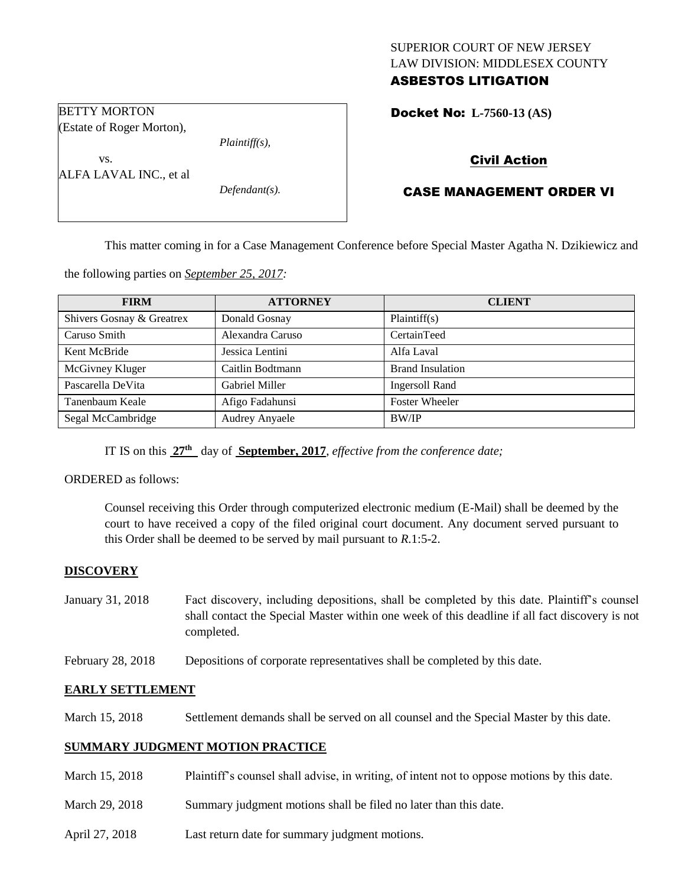## SUPERIOR COURT OF NEW JERSEY LAW DIVISION: MIDDLESEX COUNTY ASBESTOS LITIGATION

Docket No: **L-7560-13 (AS)** 

### BETTY MORTON (Estate of Roger Morton),

*Plaintiff(s),*

ALFA LAVAL INC., et al

vs.

*Defendant(s).*

# Civil Action

# CASE MANAGEMENT ORDER VI

This matter coming in for a Case Management Conference before Special Master Agatha N. Dzikiewicz and

the following parties on *September 25, 2017:*

| <b>FIRM</b>               | <b>ATTORNEY</b>       | <b>CLIENT</b>           |
|---------------------------|-----------------------|-------------------------|
| Shivers Gosnay & Greatrex | Donald Gosnay         | Plaintiff(s)            |
| Caruso Smith              | Alexandra Caruso      | CertainTeed             |
| Kent McBride              | Jessica Lentini       | Alfa Laval              |
| McGivney Kluger           | Caitlin Bodtmann      | <b>Brand Insulation</b> |
| Pascarella DeVita         | Gabriel Miller        | <b>Ingersoll Rand</b>   |
| Tanenbaum Keale           | Afigo Fadahunsi       | <b>Foster Wheeler</b>   |
| Segal McCambridge         | <b>Audrey Anyaele</b> | BW/IP                   |

IT IS on this  $27<sup>th</sup>$  day of **September, 2017**, *effective from the conference date*;

ORDERED as follows:

Counsel receiving this Order through computerized electronic medium (E-Mail) shall be deemed by the court to have received a copy of the filed original court document. Any document served pursuant to this Order shall be deemed to be served by mail pursuant to *R*.1:5-2.

## **DISCOVERY**

- January 31, 2018 Fact discovery, including depositions, shall be completed by this date. Plaintiff's counsel shall contact the Special Master within one week of this deadline if all fact discovery is not completed.
- February 28, 2018 Depositions of corporate representatives shall be completed by this date.

### **EARLY SETTLEMENT**

March 15, 2018 Settlement demands shall be served on all counsel and the Special Master by this date.

### **SUMMARY JUDGMENT MOTION PRACTICE**

March 15, 2018 Plaintiff's counsel shall advise, in writing, of intent not to oppose motions by this date. March 29, 2018 Summary judgment motions shall be filed no later than this date. April 27, 2018 Last return date for summary judgment motions.